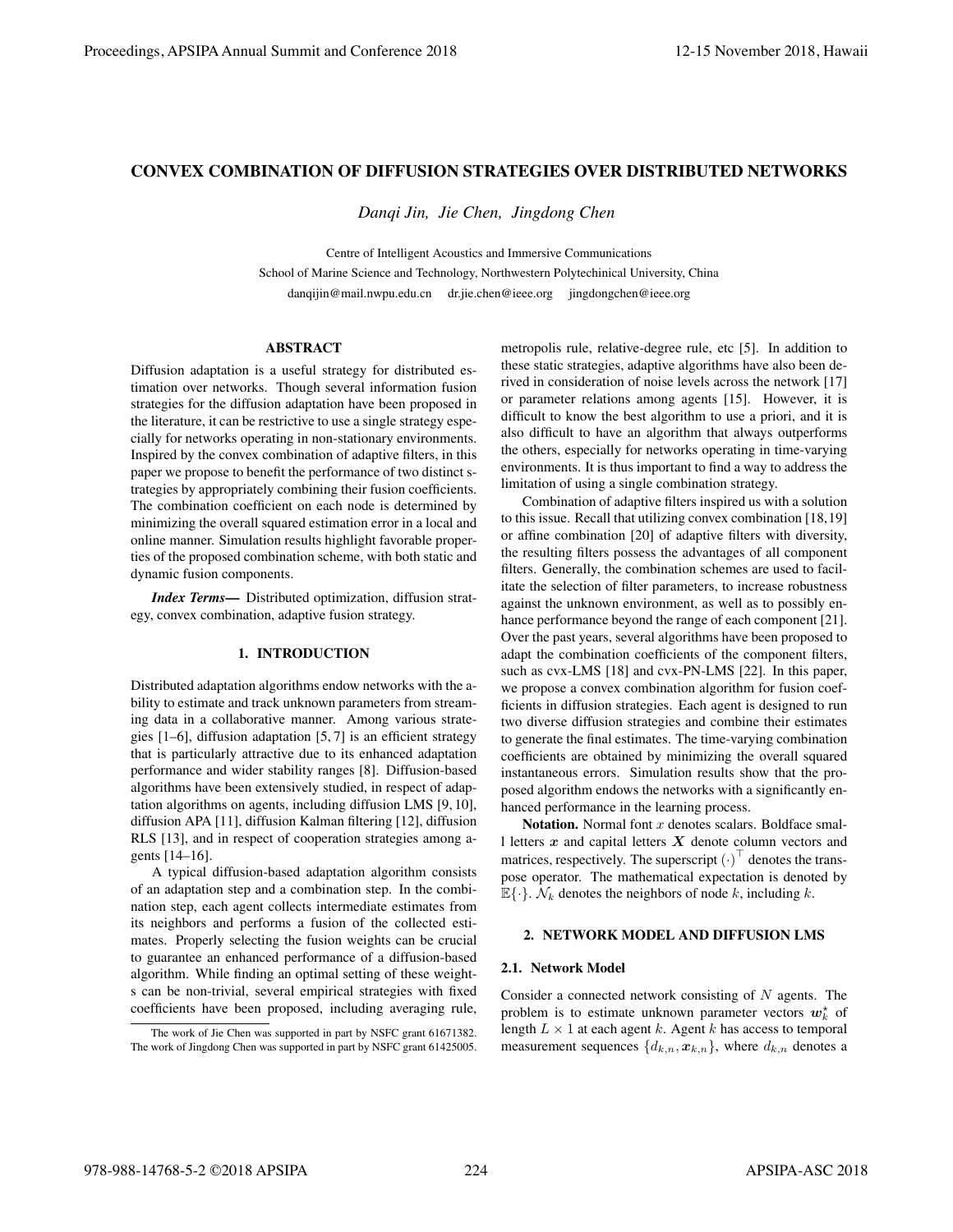# CONVEX COMBINATION OF DIFFUSION STRATEGIES OVER DISTRIBUTED NETWORKS

*Danqi Jin, Jie Chen, Jingdong Chen*

Centre of Intelligent Acoustics and Immersive Communications School of Marine Science and Technology, Northwestern Polytechinical University, China danqijin@mail.nwpu.edu.cn dr.jie.chen@ieee.org jingdongchen@ieee.org

## ABSTRACT

Diffusion adaptation is a useful strategy for distributed estimation over networks. Though several information fusion strategies for the diffusion adaptation have been proposed in the literature, it can be restrictive to use a single strategy especially for networks operating in non-stationary environments. Inspired by the convex combination of adaptive filters, in this paper we propose to benefit the performance of two distinct strategies by appropriately combining their fusion coefficients. The combination coefficient on each node is determined by minimizing the overall squared estimation error in a local and online manner. Simulation results highlight favorable properties of the proposed combination scheme, with both static and dynamic fusion components.

*Index Terms*— Distributed optimization, diffusion strategy, convex combination, adaptive fusion strategy.

### 1. INTRODUCTION

Distributed adaptation algorithms endow networks with the ability to estimate and track unknown parameters from streaming data in a collaborative manner. Among various strategies [1–6], diffusion adaptation [5, 7] is an efficient strategy that is particularly attractive due to its enhanced adaptation performance and wider stability ranges [8]. Diffusion-based algorithms have been extensively studied, in respect of adaptation algorithms on agents, including diffusion LMS [9, 10], diffusion APA [11], diffusion Kalman filtering [12], diffusion RLS [13], and in respect of cooperation strategies among agents [14–16].

A typical diffusion-based adaptation algorithm consists of an adaptation step and a combination step. In the combination step, each agent collects intermediate estimates from its neighbors and performs a fusion of the collected estimates. Properly selecting the fusion weights can be crucial to guarantee an enhanced performance of a diffusion-based algorithm. While finding an optimal setting of these weights can be non-trivial, several empirical strategies with fixed coefficients have been proposed, including averaging rule,

The work of Jie Chen was supported in part by NSFC grant 61671382. The work of Jingdong Chen was supported in part by NSFC grant 61425005. metropolis rule, relative-degree rule, etc [5]. In addition to these static strategies, adaptive algorithms have also been derived in consideration of noise levels across the network [17] or parameter relations among agents [15]. However, it is difficult to know the best algorithm to use a priori, and it is also difficult to have an algorithm that always outperforms the others, especially for networks operating in time-varying environments. It is thus important to find a way to address the limitation of using a single combination strategy.

Combination of adaptive filters inspired us with a solution to this issue. Recall that utilizing convex combination [18,19] or affine combination [20] of adaptive filters with diversity, the resulting filters possess the advantages of all component filters. Generally, the combination schemes are used to facilitate the selection of filter parameters, to increase robustness against the unknown environment, as well as to possibly enhance performance beyond the range of each component [21]. Over the past years, several algorithms have been proposed to adapt the combination coefficients of the component filters, such as cvx-LMS [18] and cvx-PN-LMS [22]. In this paper, we propose a convex combination algorithm for fusion coefficients in diffusion strategies. Each agent is designed to run two diverse diffusion strategies and combine their estimates to generate the final estimates. The time-varying combination coefficients are obtained by minimizing the overall squared instantaneous errors. Simulation results show that the proposed algorithm endows the networks with a significantly enhanced performance in the learning process.

Notation. Normal font *x* denotes scalars. Boldface small letters *x* and capital letters *X* denote column vectors and matrices, respectively. The superscript (*·*) *⊤* denotes the transpose operator. The mathematical expectation is denoted by  $\mathbb{E}\{\cdot\}$ .  $\mathcal{N}_k$  denotes the neighbors of node *k*, including *k*.

## 2. NETWORK MODEL AND DIFFUSION LMS

#### 2.1. Network Model

Consider a connected network consisting of *N* agents. The problem is to estimate unknown parameter vectors  $w_k^*$  of length *L ×* 1 at each agent *k*. Agent *k* has access to temporal measurement sequences  $\{d_{k,n}, \mathbf{x}_{k,n}\}$ , where  $d_{k,n}$  denotes a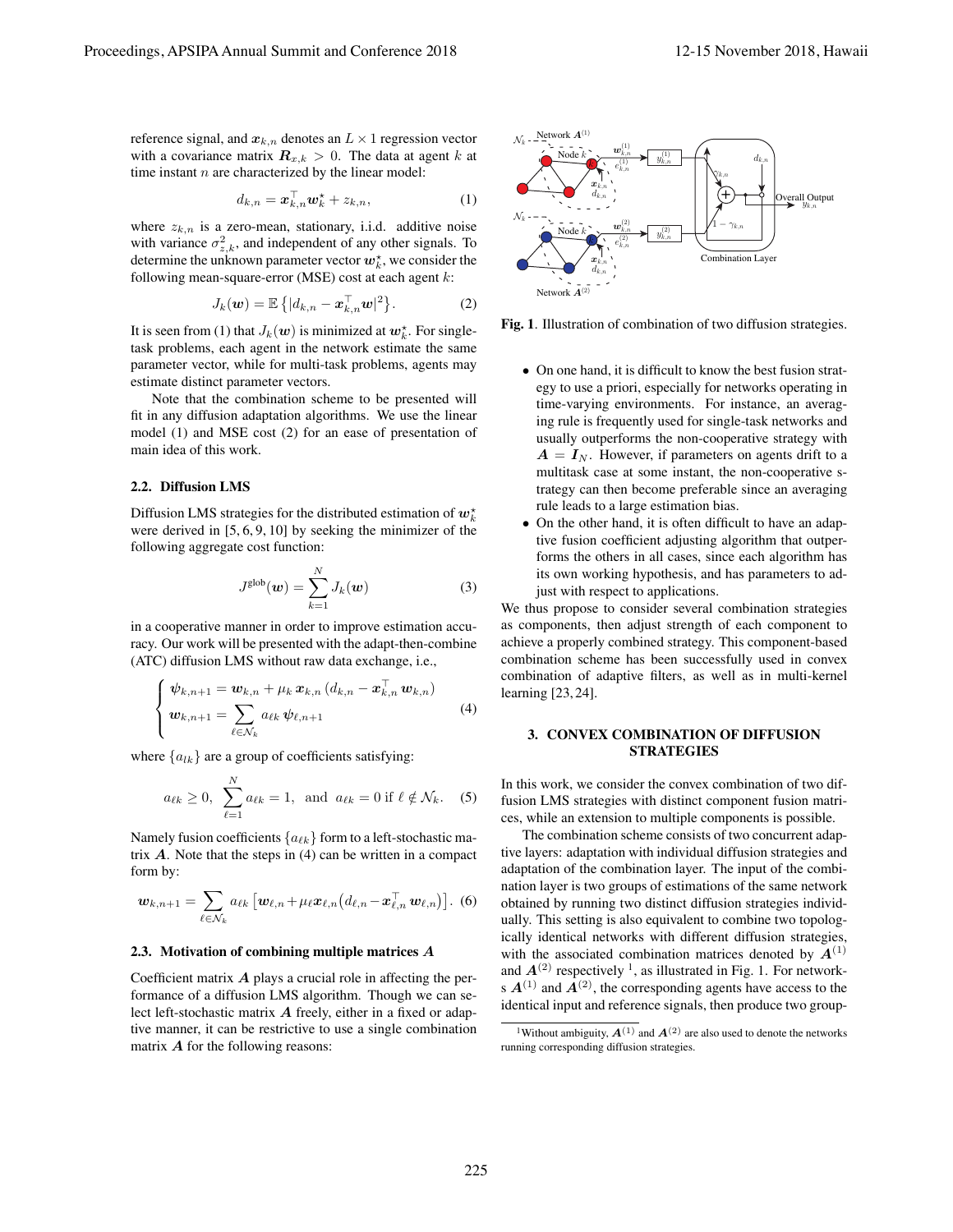reference signal, and  $x_{k,n}$  denotes an  $L \times 1$  regression vector with a covariance matrix  $\mathbf{R}_{x,k} > 0$ . The data at agent *k* at time instant *n* are characterized by the linear model:

$$
d_{k,n} = \boldsymbol{x}_{k,n}^{\top} \boldsymbol{w}_k^{\star} + z_{k,n},
$$
\n(1)

where  $z_{k,n}$  is a zero-mean, stationary, i.i.d. additive noise with variance  $\sigma_{z,k}^2$ , and independent of any other signals. To determine the unknown parameter vector  $w_k^*$ , we consider the following mean-square-error (MSE) cost at each agent *k*:

$$
J_k(\boldsymbol{w}) = \mathbb{E}\left\{ |d_{k,n} - \boldsymbol{x}_{k,n}^{\top} \boldsymbol{w}|^2 \right\}.
$$
 (2)

It is seen from (1) that  $J_k(w)$  is minimized at  $w_k^*$ . For singletask problems, each agent in the network estimate the same parameter vector, while for multi-task problems, agents may estimate distinct parameter vectors.

Note that the combination scheme to be presented will fit in any diffusion adaptation algorithms. We use the linear model (1) and MSE cost (2) for an ease of presentation of main idea of this work.

## 2.2. Diffusion LMS

Diffusion LMS strategies for the distributed estimation of  $w_k^*$ were derived in [5, 6, 9, 10] by seeking the minimizer of the following aggregate cost function:

$$
J^{\text{glob}}(\boldsymbol{w}) = \sum_{k=1}^{N} J_k(\boldsymbol{w})
$$
 (3)

in a cooperative manner in order to improve estimation accuracy. Our work will be presented with the adapt-then-combine (ATC) diffusion LMS without raw data exchange, i.e.,

$$
\begin{cases} \psi_{k,n+1} = \mathbf{w}_{k,n} + \mu_k \, \mathbf{x}_{k,n} \, (d_{k,n} - \mathbf{x}_{k,n}^{\top} \, \mathbf{w}_{k,n}) \\ \mathbf{w}_{k,n+1} = \sum_{\ell \in \mathcal{N}_k} a_{\ell k} \, \psi_{\ell,n+1} \end{cases} \tag{4}
$$

where  ${a_{lk}}$  are a group of coefficients satisfying:

$$
a_{\ell k} \ge 0
$$
,  $\sum_{\ell=1}^{N} a_{\ell k} = 1$ , and  $a_{\ell k} = 0$  if  $\ell \notin \mathcal{N}_k$ . (5)

Namely fusion coefficients *{aℓk}* form to a left-stochastic matrix *A*. Note that the steps in (4) can be written in a compact form by:

$$
\boldsymbol{w}_{k,n+1} = \sum_{\ell \in \mathcal{N}_k} a_{\ell k} \left[ \boldsymbol{w}_{\ell,n} + \mu_{\ell} \boldsymbol{x}_{\ell,n} \left( d_{\ell,n} - \boldsymbol{x}_{\ell,n}^{\top} \boldsymbol{w}_{\ell,n} \right) \right].
$$
 (6)

#### 2.3. Motivation of combining multiple matrices *A*

Coefficient matrix *A* plays a crucial role in affecting the performance of a diffusion LMS algorithm. Though we can select left-stochastic matrix *A* freely, either in a fixed or adaptive manner, it can be restrictive to use a single combination matrix *A* for the following reasons:



Fig. 1. Illustration of combination of two diffusion strategies.

- *•* On one hand, it is difficult to know the best fusion strategy to use a priori, especially for networks operating in time-varying environments. For instance, an averaging rule is frequently used for single-task networks and usually outperforms the non-cooperative strategy with  $A = I_N$ . However, if parameters on agents drift to a multitask case at some instant, the non-cooperative strategy can then become preferable since an averaging rule leads to a large estimation bias.
- *•* On the other hand, it is often difficult to have an adaptive fusion coefficient adjusting algorithm that outperforms the others in all cases, since each algorithm has its own working hypothesis, and has parameters to adjust with respect to applications.

We thus propose to consider several combination strategies as components, then adjust strength of each component to achieve a properly combined strategy. This component-based combination scheme has been successfully used in convex combination of adaptive filters, as well as in multi-kernel learning [23, 24].

## 3. CONVEX COMBINATION OF DIFFUSION **STRATEGIES**

In this work, we consider the convex combination of two diffusion LMS strategies with distinct component fusion matrices, while an extension to multiple components is possible.

The combination scheme consists of two concurrent adaptive layers: adaptation with individual diffusion strategies and adaptation of the combination layer. The input of the combination layer is two groups of estimations of the same network obtained by running two distinct diffusion strategies individually. This setting is also equivalent to combine two topologically identical networks with different diffusion strategies, with the associated combination matrices denoted by  $A^{(1)}$ and  $A^{(2)}$  respectively<sup>1</sup>, as illustrated in Fig. 1. For networks  $A^{(1)}$  and  $A^{(2)}$ , the corresponding agents have access to the identical input and reference signals, then produce two group-

<sup>&</sup>lt;sup>1</sup>Without ambiguity,  $A^{(1)}$  and  $A^{(2)}$  are also used to denote the networks running corresponding diffusion strategies.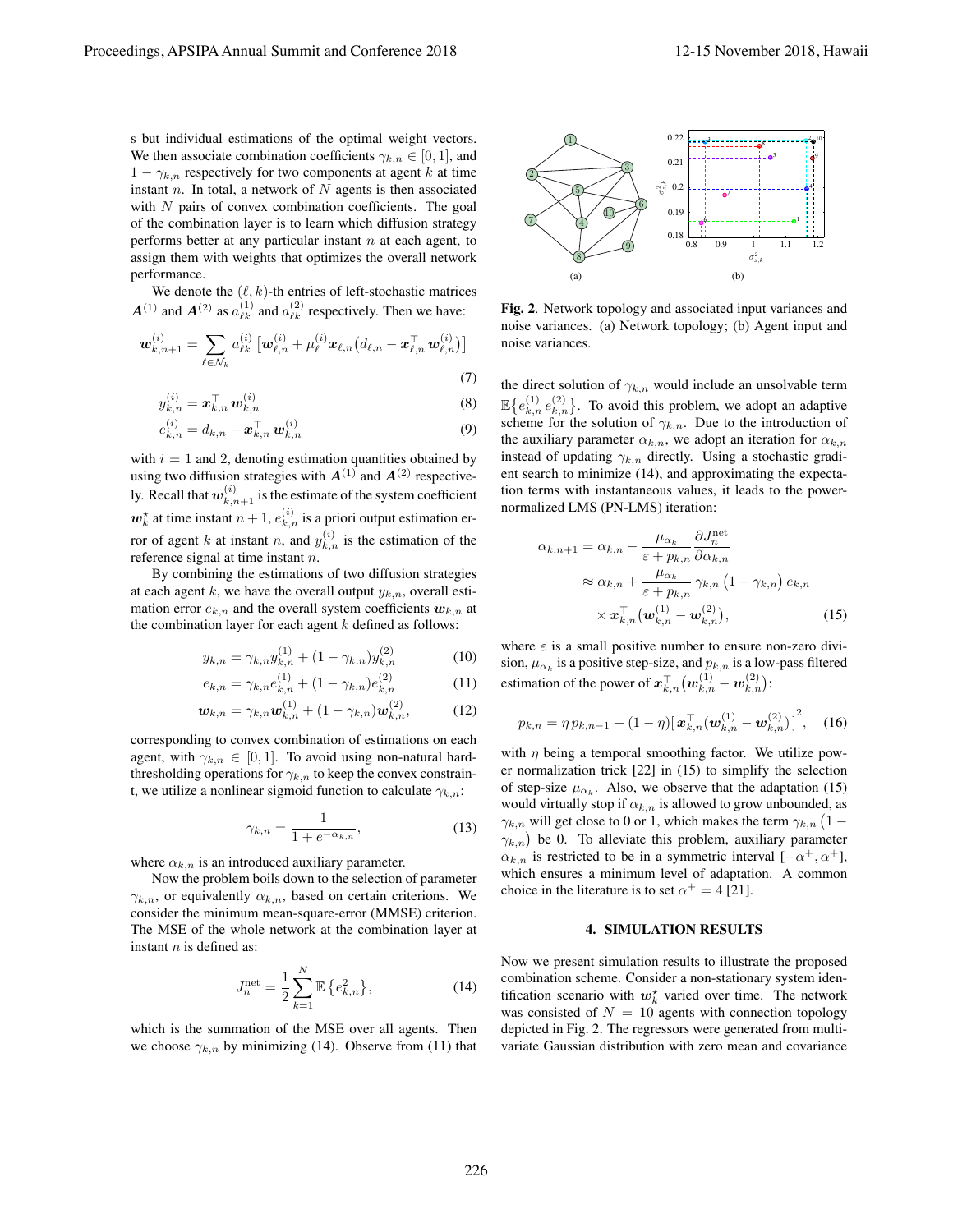s but individual estimations of the optimal weight vectors. We then associate combination coefficients  $\gamma_{k,n} \in [0,1]$ , and  $1 - \gamma_{k,n}$  respectively for two components at agent *k* at time instant *n*. In total, a network of *N* agents is then associated with *N* pairs of convex combination coefficients. The goal of the combination layer is to learn which diffusion strategy performs better at any particular instant *n* at each agent, to assign them with weights that optimizes the overall network performance.

We denote the  $(\ell, k)$ -th entries of left-stochastic matrices  $A^{(1)}$  and  $A^{(2)}$  as  $a_{\ell k}^{(1)}$  and  $a_{\ell k}^{(2)}$  respectively. Then we have:

$$
\boldsymbol{w}_{k,n+1}^{(i)} = \sum_{\ell \in \mathcal{N}_k} a_{\ell k}^{(i)} \left[ \boldsymbol{w}_{\ell,n}^{(i)} + \mu_{\ell}^{(i)} \boldsymbol{x}_{\ell,n} \left( d_{\ell,n} - \boldsymbol{x}_{\ell,n}^{\top} \boldsymbol{w}_{\ell,n}^{(i)} \right) \right]
$$
\n(7)

$$
y_{k,n}^{(i)} = \mathbf{x}_{k,n}^{\top} \mathbf{w}_{k,n}^{(i)}
$$
(8)

$$
e_{k,n}^{(i)} = d_{k,n} - \boldsymbol{x}_{k,n}^{\top} \boldsymbol{w}_{k,n}^{(i)}
$$
(9)

with  $i = 1$  and 2, denoting estimation quantities obtained by using two diffusion strategies with  $A^{(1)}$  and  $A^{(2)}$  respectively. Recall that  $w_{k,n+1}^{(i)}$  is the estimate of the system coefficient  $w_k^*$  at time instant  $n+1$ ,  $e_{k,n}^{(i)}$  is a priori output estimation erfor of agent *k* at instant *n*, and  $y_{k,n}^{(i)}$  is the estimation of the reference signal at time instant *n*.

By combining the estimations of two diffusion strategies at each agent  $k$ , we have the overall output  $y_{k,n}$ , overall estimation error  $e_{k,n}$  and the overall system coefficients  $w_{k,n}$  at the combination layer for each agent *k* defined as follows:

$$
y_{k,n} = \gamma_{k,n} y_{k,n}^{(1)} + (1 - \gamma_{k,n}) y_{k,n}^{(2)} \tag{10}
$$

$$
e_{k,n} = \gamma_{k,n} e_{k,n}^{(1)} + (1 - \gamma_{k,n}) e_{k,n}^{(2)}
$$
 (11)

$$
\boldsymbol{w}_{k,n} = \gamma_{k,n} \boldsymbol{w}_{k,n}^{(1)} + (1 - \gamma_{k,n}) \boldsymbol{w}_{k,n}^{(2)},
$$
(12)

corresponding to convex combination of estimations on each agent, with  $\gamma_{k,n} \in [0,1]$ . To avoid using non-natural hardthresholding operations for  $\gamma_{k,n}$  to keep the convex constraint, we utilize a nonlinear sigmoid function to calculate *γk,n*:

$$
\gamma_{k,n} = \frac{1}{1 + e^{-\alpha_{k,n}}},\tag{13}
$$

where  $\alpha_{k,n}$  is an introduced auxiliary parameter.

Now the problem boils down to the selection of parameter  $\gamma_{k,n}$ , or equivalently  $\alpha_{k,n}$ , based on certain criterions. We consider the minimum mean-square-error (MMSE) criterion. The MSE of the whole network at the combination layer at instant *n* is defined as:

$$
J_n^{\text{net}} = \frac{1}{2} \sum_{k=1}^{N} \mathbb{E} \{ e_{k,n}^2 \}, \tag{14}
$$

which is the summation of the MSE over all agents. Then we choose  $\gamma_{k,n}$  by minimizing (14). Observe from (11) that



Fig. 2. Network topology and associated input variances and noise variances. (a) Network topology; (b) Agent input and noise variances.

the direct solution of  $\gamma_{k,n}$  would include an unsolvable term  $\mathbb{E}\left\{e_{k,n}^{(1)}e_{k,n}^{(2)}\right\}$ . To avoid this problem, we adopt an adaptive scheme for the solution of  $\gamma_{k,n}$ . Due to the introduction of the auxiliary parameter  $\alpha_{k,n}$ , we adopt an iteration for  $\alpha_{k,n}$ instead of updating *γk,n* directly. Using a stochastic gradient search to minimize (14), and approximating the expectation terms with instantaneous values, it leads to the powernormalized LMS (PN-LMS) iteration:

$$
\alpha_{k,n+1} = \alpha_{k,n} - \frac{\mu_{\alpha_k}}{\varepsilon + p_{k,n}} \frac{\partial J_n^{\text{net}}}{\partial \alpha_{k,n}} \n\approx \alpha_{k,n} + \frac{\mu_{\alpha_k}}{\varepsilon + p_{k,n}} \gamma_{k,n} (1 - \gamma_{k,n}) e_{k,n} \n\times \mathbf{x}_{k,n}^{\top} (\mathbf{w}_{k,n}^{(1)} - \mathbf{w}_{k,n}^{(2)}),
$$
\n(15)

where  $\varepsilon$  is a small positive number to ensure non-zero division,  $\mu_{\alpha_k}$  is a positive step-size, and  $p_{k,n}$  is a low-pass filtered estimation of the power of  $\boldsymbol{x}_{k,n}^{\top}(\boldsymbol{w}_{k,n}^{(1)} - \boldsymbol{w}_{k,n}^{(2)})$ :

$$
p_{k,n} = \eta \, p_{k,n-1} + (1 - \eta) \big[ \boldsymbol{x}_{k,n}^{\top} (\boldsymbol{w}_{k,n}^{(1)} - \boldsymbol{w}_{k,n}^{(2)}) \big]^2, \quad (16)
$$

with  $\eta$  being a temporal smoothing factor. We utilize power normalization trick [22] in (15) to simplify the selection of step-size  $\mu_{\alpha_k}$ . Also, we observe that the adaptation (15) would virtually stop if  $\alpha_{k,n}$  is allowed to grow unbounded, as  $\gamma_{k,n}$  will get close to 0 or 1, which makes the term  $\gamma_{k,n}$  (1 *−*  $\gamma_{k,n}$ ) be 0. To alleviate this problem, auxiliary parameter  $\alpha_{k,n}$  is restricted to be in a symmetric interval  $[-\alpha^+, \alpha^+]$ , which ensures a minimum level of adaptation. A common choice in the literature is to set  $\alpha^+ = 4$  [21].

#### 4. SIMULATION RESULTS

Now we present simulation results to illustrate the proposed combination scheme. Consider a non-stationary system identification scenario with  $w_k^*$  varied over time. The network was consisted of  $N = 10$  agents with connection topology depicted in Fig. 2. The regressors were generated from multivariate Gaussian distribution with zero mean and covariance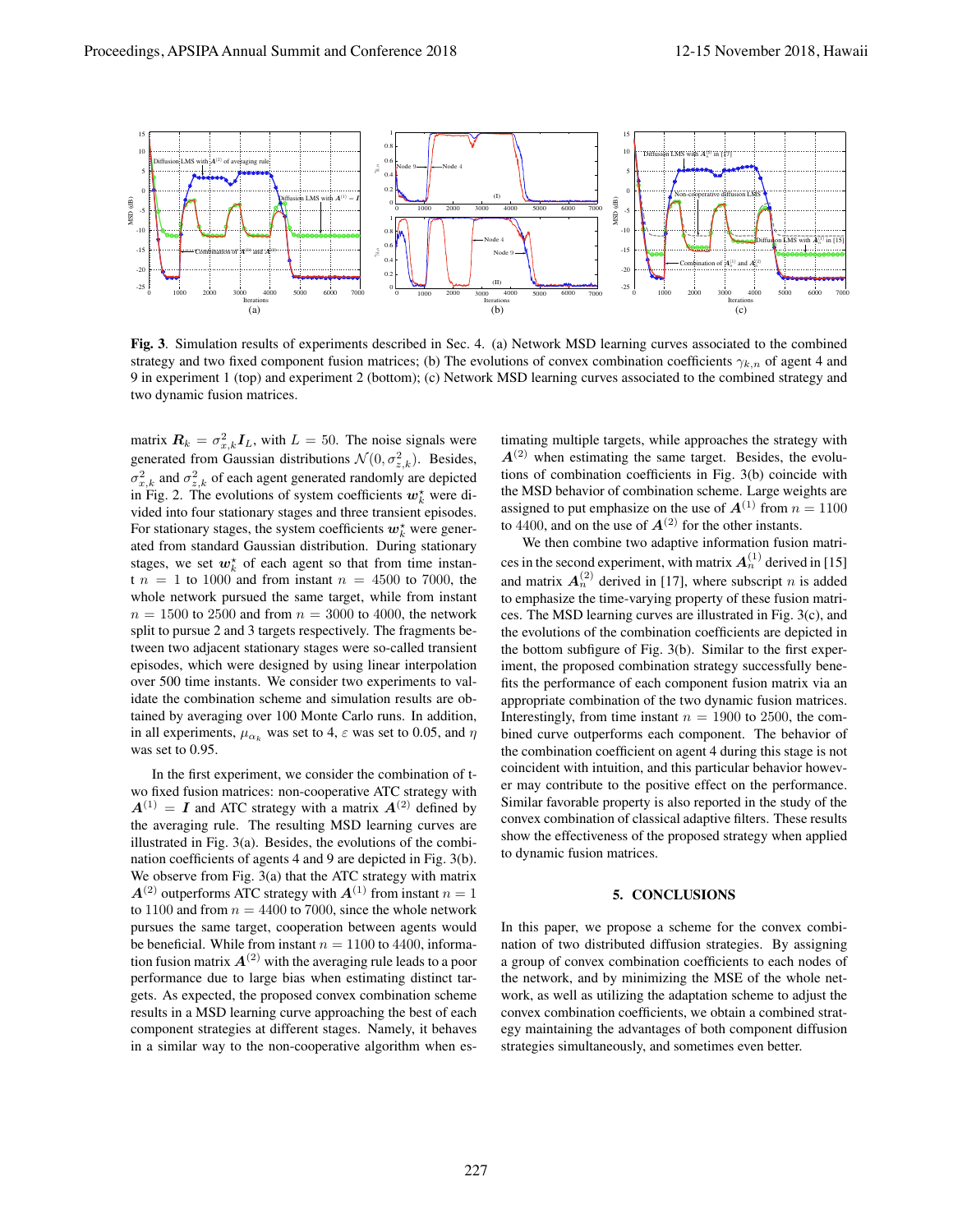

Fig. 3. Simulation results of experiments described in Sec. 4. (a) Network MSD learning curves associated to the combined strategy and two fixed component fusion matrices; (b) The evolutions of convex combination coefficients *γk,n* of agent 4 and 9 in experiment 1 (top) and experiment 2 (bottom); (c) Network MSD learning curves associated to the combined strategy and two dynamic fusion matrices.

matrix  $\mathbf{R}_k = \sigma_{x,k}^2 \mathbf{I}_L$ , with  $L = 50$ . The noise signals were generated from Gaussian distributions  $\mathcal{N}(0, \sigma_{z,k}^2)$ . Besides,  $\sigma_{x,k}^2$  and  $\sigma_{z,k}^2$  of each agent generated randomly are depicted in Fig. 2. The evolutions of system coefficients  $w_k^*$  were divided into four stationary stages and three transient episodes. For stationary stages, the system coefficients  $w_k^*$  were generated from standard Gaussian distribution. During stationary stages, we set  $w_k^*$  of each agent so that from time instan $t n = 1$  to 1000 and from instant  $n = 4500$  to 7000, the whole network pursued the same target, while from instant  $n = 1500$  to 2500 and from  $n = 3000$  to 4000, the network split to pursue 2 and 3 targets respectively. The fragments between two adjacent stationary stages were so-called transient episodes, which were designed by using linear interpolation over 500 time instants. We consider two experiments to validate the combination scheme and simulation results are obtained by averaging over 100 Monte Carlo runs. In addition, in all experiments,  $\mu_{\alpha_k}$  was set to 4,  $\varepsilon$  was set to 0.05, and  $\eta$ was set to 0.95.

In the first experiment, we consider the combination of two fixed fusion matrices: non-cooperative ATC strategy with  $A^{(1)} = I$  and ATC strategy with a matrix  $A^{(2)}$  defined by the averaging rule. The resulting MSD learning curves are illustrated in Fig. 3(a). Besides, the evolutions of the combination coefficients of agents 4 and 9 are depicted in Fig. 3(b). We observe from Fig. 3(a) that the ATC strategy with matrix  $A^{(2)}$  outperforms ATC strategy with  $A^{(1)}$  from instant  $n = 1$ to 1100 and from  $n = 4400$  to 7000, since the whole network pursues the same target, cooperation between agents would be beneficial. While from instant  $n = 1100$  to 4400, information fusion matrix  $A^{(2)}$  with the averaging rule leads to a poor performance due to large bias when estimating distinct targets. As expected, the proposed convex combination scheme results in a MSD learning curve approaching the best of each component strategies at different stages. Namely, it behaves in a similar way to the non-cooperative algorithm when estimating multiple targets, while approaches the strategy with  $A^{(2)}$  when estimating the same target. Besides, the evolutions of combination coefficients in Fig. 3(b) coincide with the MSD behavior of combination scheme. Large weights are assigned to put emphasize on the use of  $A^{(1)}$  from  $n = 1100$ to 4400, and on the use of  $A^{(2)}$  for the other instants.

We then combine two adaptive information fusion matrices in the second experiment, with matrix  $A_n^{(1)}$  derived in [15] and matrix  $A_n^{(2)}$  derived in [17], where subscript *n* is added to emphasize the time-varying property of these fusion matrices. The MSD learning curves are illustrated in Fig. 3(c), and the evolutions of the combination coefficients are depicted in the bottom subfigure of Fig. 3(b). Similar to the first experiment, the proposed combination strategy successfully benefits the performance of each component fusion matrix via an appropriate combination of the two dynamic fusion matrices. Interestingly, from time instant  $n = 1900$  to 2500, the combined curve outperforms each component. The behavior of the combination coefficient on agent 4 during this stage is not coincident with intuition, and this particular behavior however may contribute to the positive effect on the performance. Similar favorable property is also reported in the study of the convex combination of classical adaptive filters. These results show the effectiveness of the proposed strategy when applied to dynamic fusion matrices.

#### 5. CONCLUSIONS

In this paper, we propose a scheme for the convex combination of two distributed diffusion strategies. By assigning a group of convex combination coefficients to each nodes of the network, and by minimizing the MSE of the whole network, as well as utilizing the adaptation scheme to adjust the convex combination coefficients, we obtain a combined strategy maintaining the advantages of both component diffusion strategies simultaneously, and sometimes even better.